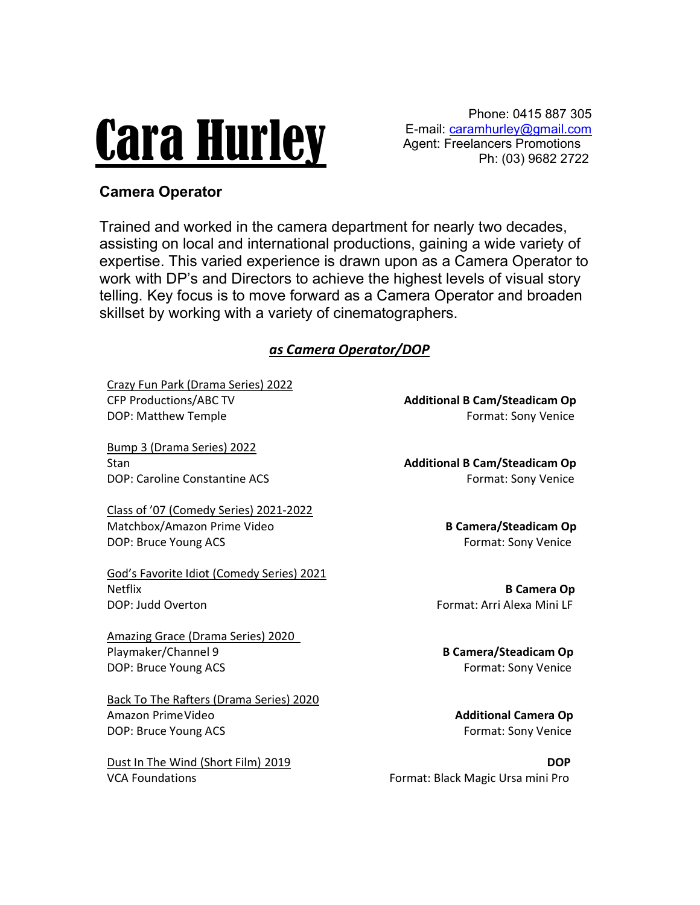# Cara Hurley

Phone: 0415 887 305 E-mail: caramhurley@gmail.com Agent: Freelancers Promotions Ph: (03) 9682 2722

## Camera Operator

Trained and worked in the camera department for nearly two decades, assisting on local and international productions, gaining a wide variety of expertise. This varied experience is drawn upon as a Camera Operator to work with DP's and Directors to achieve the highest levels of visual story telling. Key focus is to move forward as a Camera Operator and broaden skillset by working with a variety of cinematographers.

### as Camera Operator/DOP

Crazy Fun Park (Drama Series) 2022 CFP Productions/ABC TV **CFP** Additional B Cam/Steadicam Op DOP: Matthew Temple Format: Sony Venice

Bump 3 (Drama Series) 2022

Class of '07 (Comedy Series) 2021-2022 Matchbox/Amazon Prime Video BCamera/Steadicam Op DOP: Bruce Young ACS Format: Sony Venice

God's Favorite Idiot (Comedy Series) 2021 Netflix **B Camera Op** DOP: Judd Overton Format: Arri Alexa Mini LF

Amazing Grace (Drama Series) 2020 Playmaker/Channel 9 **B Camera/Steadicam Op** DOP: Bruce Young ACS Format: Sony Venice

Back To The Rafters (Drama Series) 2020 Amazon Prime Video **Additional Camera Op** DOP: Bruce Young ACS **Format: Sony Venice Format: Sony Venice** 

Dust In The Wind (Short Film) 2019 **DOP DOP** VCA Foundations **Format: Black Magic Ursa mini Pro** 

**Stan Additional B Cam/Steadicam Op Additional B Cam/Steadicam Op** DOP: Caroline Constantine ACS Format: Sony Venice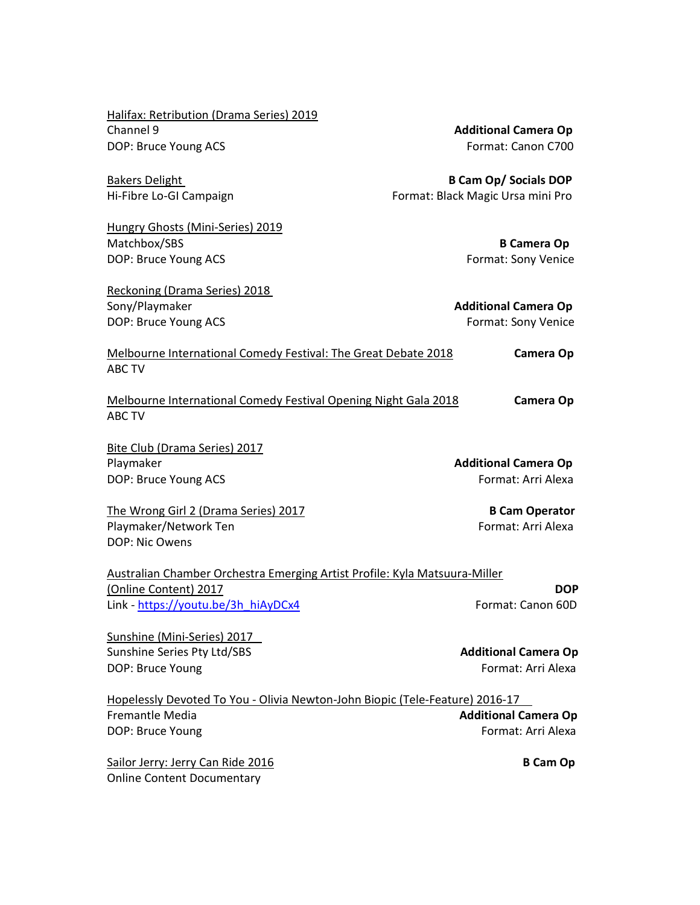| DOP: Bruce Young ACS                                                      | Format: Canon C700                |
|---------------------------------------------------------------------------|-----------------------------------|
| <b>Bakers Delight</b>                                                     | <b>B Cam Op/ Socials DOP</b>      |
| Hi-Fibre Lo-GI Campaign                                                   | Format: Black Magic Ursa mini Pro |
| Hungry Ghosts (Mini-Series) 2019                                          |                                   |
| Matchbox/SBS                                                              | <b>B Camera Op</b>                |
| DOP: Bruce Young ACS                                                      | Format: Sony Venice               |
| Reckoning (Drama Series) 2018                                             |                                   |
| Sony/Playmaker                                                            | <b>Additional Camera Op</b>       |
| DOP: Bruce Young ACS                                                      | Format: Sony Venice               |
| Melbourne International Comedy Festival: The Great Debate 2018<br>ABC TV  | Camera Op                         |
| Melbourne International Comedy Festival Opening Night Gala 2018<br>ABC TV | Camera Op                         |
| Bite Club (Drama Series) 2017                                             |                                   |

Channel 9 **Additional Camera Op** 

DOP: Bruce Young ACS Format: Arri Alexa

The Wrong Girl 2 (Drama Series) 2017 **B Cam Operator** Playmaker/Network Ten Format: Arri Alexa DOP: Nic Owens

Halifax: Retribution (Drama Series) 2019

Australian Chamber Orchestra Emerging Artist Profile: Kyla Matsuura-Miller (Online Content) 2017 **DOP** Link - https://youtu.be/3h\_hiAyDCx4 Format: Canon 60D

Sunshine (Mini-Series) 2017 Sunshine Series Pty Ltd/SBS Additional Camera Op Additional Camera Op DOP: Bruce Young Format: Arri Alexa

Hopelessly Devoted To You - Olivia Newton-John Biopic (Tele-Feature) 2016-17 Fremantle Media **Additional Camera Op Additional Camera Op** DOP: Bruce Young Format: Arri Alexa

Sailor Jerry: Jerry Can Ride 2016 **B Cam Op** Online Content Documentary

Bite Club (Drama Series) 2017 Playmaker **Additional Camera Op**